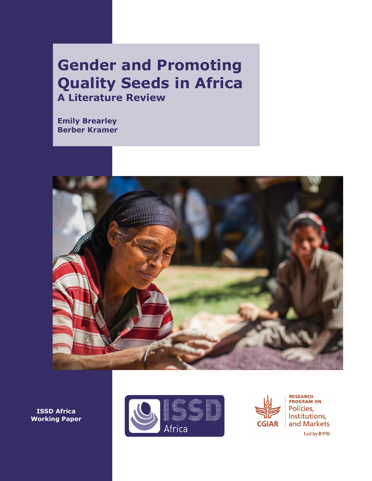# **Gender and Promoting Quality Seeds in Africa A Literature Review**

**Emily Brearley Berber Kramer**



**ISSD Africa Working Paper**





**RESEARCH<br>PROGRAM ON** Policies, Institutions, and Markets Led by IFPRI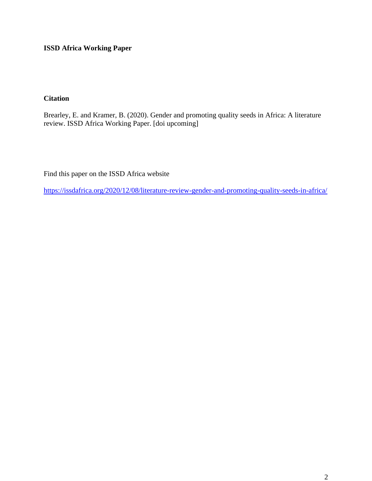**ISSD Africa Working Paper**

## **Citation**

Brearley, E. and Kramer, B. (2020). Gender and promoting quality seeds in Africa: A literature review. ISSD Africa Working Paper. [doi upcoming]

Find this paper on the ISSD Africa website

<https://issdafrica.org/2020/12/08/literature-review-gender-and-promoting-quality-seeds-in-africa/>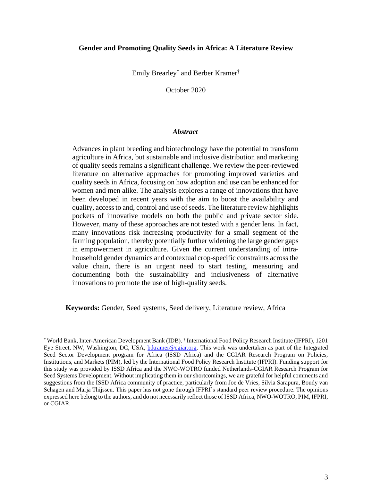#### **Gender and Promoting Quality Seeds in Africa: A Literature Review**

Emily Brearley\* and Berber Kramer†

October 2020

#### *Abstract*

Advances in plant breeding and biotechnology have the potential to transform agriculture in Africa, but sustainable and inclusive distribution and marketing of quality seeds remains a significant challenge. We review the peer-reviewed literature on alternative approaches for promoting improved varieties and quality seeds in Africa, focusing on how adoption and use can be enhanced for women and men alike. The analysis explores a range of innovations that have been developed in recent years with the aim to boost the availability and quality, access to and, control and use of seeds. The literature review highlights pockets of innovative models on both the public and private sector side. However, many of these approaches are not tested with a gender lens. In fact, many innovations risk increasing productivity for a small segment of the farming population, thereby potentially further widening the large gender gaps in empowerment in agriculture. Given the current understanding of intrahousehold gender dynamics and contextual crop-specific constraints across the value chain, there is an urgent need to start testing, measuring and documenting both the sustainability and inclusiveness of alternative innovations to promote the use of high-quality seeds.

**Keywords:** Gender, Seed systems, Seed delivery, Literature review, Africa

<sup>\*</sup> World Bank, Inter-American Development Bank (IDB). † International Food Policy Research Institute (IFPRI), 1201 Eye Street, NW, Washington, DC, USA, **b.kramer@cgiar.org**. This work was undertaken as part of the Integrated Seed Sector Development program for Africa (ISSD Africa) and the CGIAR Research Program on Policies, Institutions, and Markets (PIM), led by the International Food Policy Research Institute (IFPRI). Funding support for this study was provided by ISSD Africa and the NWO-WOTRO funded Netherlands-CGIAR Research Program for Seed Systems Development. Without implicating them in our shortcomings, we are grateful for helpful comments and suggestions from the ISSD Africa community of practice, particularly from Joe de Vries, Silvia Sarapura, Boudy van Schagen and Marja Thijssen. This paper has not gone through IFPRI's standard peer review procedure. The opinions expressed here belong to the authors, and do not necessarily reflect those of ISSD Africa, NWO-WOTRO, PIM, IFPRI, or CGIAR.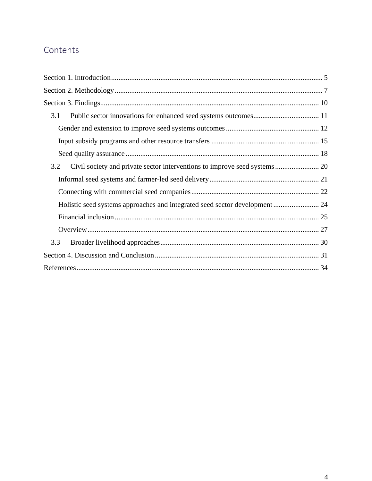## Contents

| 3.1 |  |
|-----|--|
|     |  |
|     |  |
|     |  |
| 3.2 |  |
|     |  |
|     |  |
|     |  |
|     |  |
|     |  |
| 3.3 |  |
|     |  |
|     |  |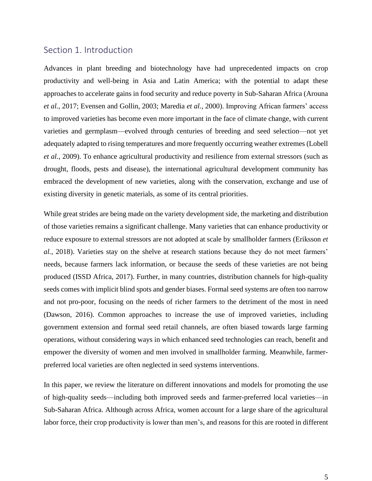## <span id="page-4-0"></span>Section 1. Introduction

Advances in plant breeding and biotechnology have had unprecedented impacts on crop productivity and well-being in Asia and Latin America; with the potential to adapt these approaches to accelerate gains in food security and reduce poverty in Sub-Saharan Africa (Arouna *et al.*, 2017; Evensen and Gollin, 2003; Maredia *et al.*, 2000). Improving African farmers' access to improved varieties has become even more important in the face of climate change, with current varieties and germplasm—evolved through centuries of breeding and seed selection—not yet adequately adapted to rising temperatures and more frequently occurring weather extremes (Lobell *et al.*, 2009). To enhance agricultural productivity and resilience from external stressors (such as drought, floods, pests and disease), the international agricultural development community has embraced the development of new varieties, along with the conservation, exchange and use of existing diversity in genetic materials, as some of its central priorities.

While great strides are being made on the variety development side, the marketing and distribution of those varieties remains a significant challenge. Many varieties that can enhance productivity or reduce exposure to external stressors are not adopted at scale by smallholder farmers (Eriksson *et al.*, 2018). Varieties stay on the shelve at research stations because they do not meet farmers' needs, because farmers lack information, or because the seeds of these varieties are not being produced (ISSD Africa, 2017). Further, in many countries, distribution channels for high-quality seeds comes with implicit blind spots and gender biases. Formal seed systems are often too narrow and not pro-poor, focusing on the needs of richer farmers to the detriment of the most in need (Dawson, 2016). Common approaches to increase the use of improved varieties, including government extension and formal seed retail channels, are often biased towards large farming operations, without considering ways in which enhanced seed technologies can reach, benefit and empower the diversity of women and men involved in smallholder farming. Meanwhile, farmerpreferred local varieties are often neglected in seed systems interventions.

In this paper, we review the literature on different innovations and models for promoting the use of high-quality seeds—including both improved seeds and farmer-preferred local varieties—in Sub-Saharan Africa. Although across Africa, women account for a large share of the agricultural labor force, their crop productivity is lower than men's, and reasons for this are rooted in different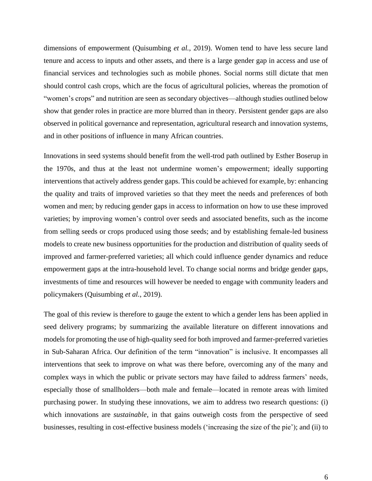dimensions of empowerment (Quisumbing *et al.*, 2019). Women tend to have less secure land tenure and access to inputs and other assets, and there is a large gender gap in access and use of financial services and technologies such as mobile phones. Social norms still dictate that men should control cash crops, which are the focus of agricultural policies, whereas the promotion of "women's crops" and nutrition are seen as secondary objectives—although studies outlined below show that gender roles in practice are more blurred than in theory. Persistent gender gaps are also observed in political governance and representation, agricultural research and innovation systems, and in other positions of influence in many African countries.

Innovations in seed systems should benefit from the well-trod path outlined by Esther Boserup in the 1970s, and thus at the least not undermine women's empowerment; ideally supporting interventions that actively address gender gaps. This could be achieved for example, by: enhancing the quality and traits of improved varieties so that they meet the needs and preferences of both women and men; by reducing gender gaps in access to information on how to use these improved varieties; by improving women's control over seeds and associated benefits, such as the income from selling seeds or crops produced using those seeds; and by establishing female-led business models to create new business opportunities for the production and distribution of quality seeds of improved and farmer-preferred varieties; all which could influence gender dynamics and reduce empowerment gaps at the intra-household level. To change social norms and bridge gender gaps, investments of time and resources will however be needed to engage with community leaders and policymakers (Quisumbing *et al.*, 2019).

The goal of this review is therefore to gauge the extent to which a gender lens has been applied in seed delivery programs; by summarizing the available literature on different innovations and models for promoting the use of high-quality seed for both improved and farmer-preferred varieties in Sub-Saharan Africa. Our definition of the term "innovation" is inclusive. It encompasses all interventions that seek to improve on what was there before, overcoming any of the many and complex ways in which the public or private sectors may have failed to address farmers' needs, especially those of smallholders—both male and female—located in remote areas with limited purchasing power. In studying these innovations, we aim to address two research questions: (i) which innovations are *sustainable*, in that gains outweigh costs from the perspective of seed businesses, resulting in cost-effective business models ('increasing the size of the pie'); and (ii) to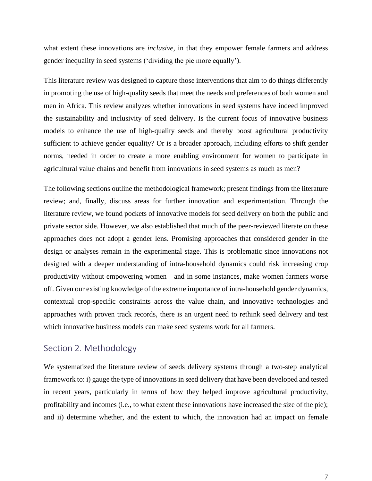what extent these innovations are *inclusive,* in that they empower female farmers and address gender inequality in seed systems ('dividing the pie more equally').

This literature review was designed to capture those interventions that aim to do things differently in promoting the use of high-quality seeds that meet the needs and preferences of both women and men in Africa. This review analyzes whether innovations in seed systems have indeed improved the sustainability and inclusivity of seed delivery. Is the current focus of innovative business models to enhance the use of high-quality seeds and thereby boost agricultural productivity sufficient to achieve gender equality? Or is a broader approach, including efforts to shift gender norms, needed in order to create a more enabling environment for women to participate in agricultural value chains and benefit from innovations in seed systems as much as men?

The following sections outline the methodological framework; present findings from the literature review; and, finally, discuss areas for further innovation and experimentation. Through the literature review, we found pockets of innovative models for seed delivery on both the public and private sector side. However, we also established that much of the peer-reviewed literate on these approaches does not adopt a gender lens. Promising approaches that considered gender in the design or analyses remain in the experimental stage. This is problematic since innovations not designed with a deeper understanding of intra-household dynamics could risk increasing crop productivity without empowering women—and in some instances, make women farmers worse off. Given our existing knowledge of the extreme importance of intra-household gender dynamics, contextual crop-specific constraints across the value chain, and innovative technologies and approaches with proven track records, there is an urgent need to rethink seed delivery and test which innovative business models can make seed systems work for all farmers.

## <span id="page-6-0"></span>Section 2. Methodology

We systematized the literature review of seeds delivery systems through a two-step analytical framework to: i) gauge the type of innovationsin seed delivery that have been developed and tested in recent years, particularly in terms of how they helped improve agricultural productivity, profitability and incomes (i.e., to what extent these innovations have increased the size of the pie); and ii) determine whether, and the extent to which, the innovation had an impact on female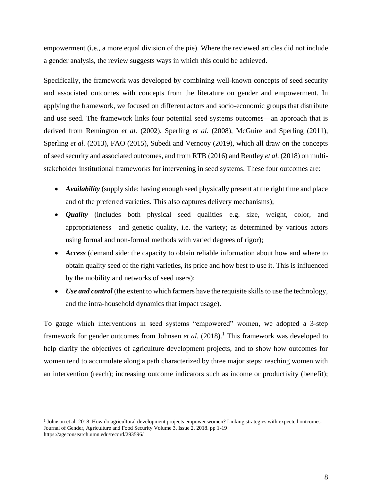empowerment (i.e., a more equal division of the pie). Where the reviewed articles did not include a gender analysis, the review suggests ways in which this could be achieved.

Specifically, the framework was developed by combining well-known concepts of seed security and associated outcomes with concepts from the literature on gender and empowerment. In applying the framework, we focused on different actors and socio-economic groups that distribute and use seed. The framework links four potential seed systems outcomes—an approach that is derived from Remington *et al.* (2002), Sperling *et al.* (2008), McGuire and Sperling (2011), Sperling *et al.* (2013), FAO (2015), Subedi and Vernooy (2019), which all draw on the concepts of seed security and associated outcomes, and from RTB (2016) and Bentley *et al.* (2018) on multistakeholder institutional frameworks for intervening in seed systems. These four outcomes are:

- *Availability* (supply side: having enough seed physically present at the right time and place and of the preferred varieties. This also captures delivery mechanisms);
- *Quality* (includes both physical seed qualities—e.g. size, weight, color, and appropriateness—and genetic quality, i.e. the variety; as determined by various actors using formal and non-formal methods with varied degrees of rigor);
- *Access* (demand side: the capacity to obtain reliable information about how and where to obtain quality seed of the right varieties, its price and how best to use it. This is influenced by the mobility and networks of seed users);
- *Use and control* (the extent to which farmers have the requisite skills to use the technology, and the intra-household dynamics that impact usage).

To gauge which interventions in seed systems "empowered" women, we adopted a 3-step framework for gender outcomes from Johnsen *et al.* (2018). <sup>1</sup> This framework was developed to help clarify the objectives of agriculture development projects, and to show how outcomes for women tend to accumulate along a path characterized by three major steps: reaching women with an intervention (reach); increasing outcome indicators such as income or productivity (benefit);

<sup>&</sup>lt;sup>1</sup> Johnson et al. 2018. How do agricultural development projects empower women? Linking strategies with expected outcomes. Journal of Gender, Agriculture and Food Security Volume 3, Issue 2, 2018. pp 1-19 https://ageconsearch.umn.edu/record/293596/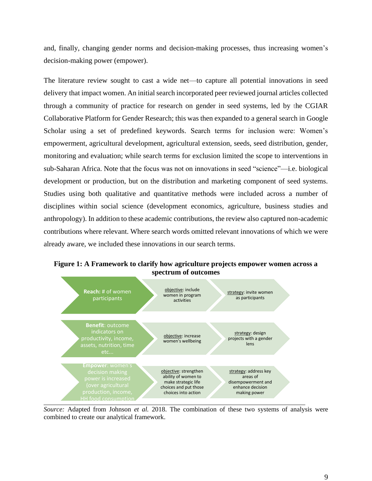and, finally, changing gender norms and decision-making processes, thus increasing women's decision-making power (empower).

The literature review sought to cast a wide net—to capture all potential innovations in seed delivery that impact women. An initial search incorporated peer reviewed journal articles collected through a community of practice for research on gender in seed systems, led by the CGIAR Collaborative Platform for Gender Research; this was then expanded to a general search in Google Scholar using a set of predefined keywords. Search terms for inclusion were: Women's empowerment, agricultural development, agricultural extension, seeds, seed distribution, gender, monitoring and evaluation; while search terms for exclusion limited the scope to interventions in sub-Saharan Africa. Note that the focus was not on innovations in seed "science"—i.e. biological development or production, but on the distribution and marketing component of seed systems. Studies using both qualitative and quantitative methods were included across a number of disciplines within social science (development economics, agriculture, business studies and anthropology). In addition to these academic contributions, the review also captured non-academic contributions where relevant. Where search words omitted relevant innovations of which we were already aware, we included these innovations in our search terms.



**Figure 1: A Framework to clarify how agriculture projects empower women across a spectrum of outcomes**

*Source:* Adapted from Johnson *et al.* 2018. The combination of these two systems of analysis were combined to create our analytical framework.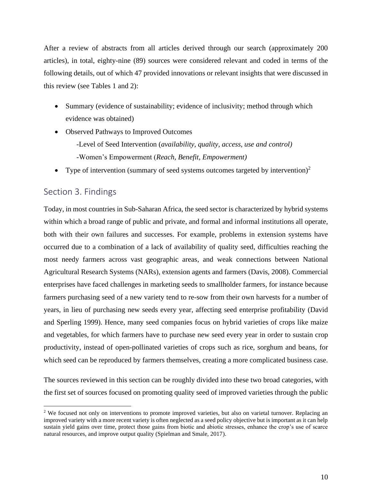After a review of abstracts from all articles derived through our search (approximately 200 articles), in total, eighty-nine (89) sources were considered relevant and coded in terms of the following details, out of which 47 provided innovations or relevant insights that were discussed in this review (see Tables 1 and 2):

- Summary (evidence of sustainability; evidence of inclusivity; method through which evidence was obtained)
- Observed Pathways to Improved Outcomes -Level of Seed Intervention (*availability, quality, access, use and control)* -Women's Empowerment (*Reach, Benefit, Empowerment)*
- Type of intervention (summary of seed systems outcomes targeted by intervention)<sup>2</sup>

## <span id="page-9-0"></span>Section 3. Findings

Today, in most countries in Sub-Saharan Africa, the seed sector is characterized by hybrid systems within which a broad range of public and private, and formal and informal institutions all operate, both with their own failures and successes. For example, problems in extension systems have occurred due to a combination of a lack of availability of quality seed, difficulties reaching the most needy farmers across vast geographic areas, and weak connections between National Agricultural Research Systems (NARs), extension agents and farmers (Davis, 2008). Commercial enterprises have faced challenges in marketing seeds to smallholder farmers, for instance because farmers purchasing seed of a new variety tend to re-sow from their own harvests for a number of years, in lieu of purchasing new seeds every year, affecting seed enterprise profitability (David and Sperling 1999). Hence, many seed companies focus on hybrid varieties of crops like maize and vegetables, for which farmers have to purchase new seed every year in order to sustain crop productivity, instead of open-pollinated varieties of crops such as rice, sorghum and beans, for which seed can be reproduced by farmers themselves, creating a more complicated business case.

The sources reviewed in this section can be roughly divided into these two broad categories, with the first set of sources focused on promoting quality seed of improved varieties through the public

<sup>&</sup>lt;sup>2</sup> We focused not only on interventions to promote improved varieties, but also on varietal turnover. Replacing an improved variety with a more recent variety is often neglected as a seed policy objective but is important as it can help sustain yield gains over time, protect those gains from biotic and abiotic stresses, enhance the crop's use of scarce natural resources, and improve output quality (Spielman and Smale, 2017).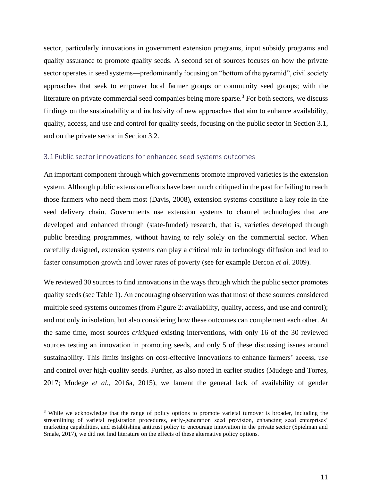sector, particularly innovations in government extension programs, input subsidy programs and quality assurance to promote quality seeds. A second set of sources focuses on how the private sector operates in seed systems—predominantly focusing on "bottom of the pyramid", civil society approaches that seek to empower local farmer groups or community seed groups; with the literature on private commercial seed companies being more sparse.<sup>3</sup> For both sectors, we discuss findings on the sustainability and inclusivity of new approaches that aim to enhance availability, quality, access, and use and control for quality seeds, focusing on the public sector in Section 3.1, and on the private sector in Section 3.2.

#### <span id="page-10-0"></span>3.1 Public sector innovations for enhanced seed systems outcomes

An important component through which governments promote improved varieties is the extension system. Although public extension efforts have been much critiqued in the past for failing to reach those farmers who need them most (Davis, 2008), extension systems constitute a key role in the seed delivery chain. Governments use extension systems to channel technologies that are developed and enhanced through (state-funded) research, that is, varieties developed through public breeding programmes, without having to rely solely on the commercial sector. When carefully designed, extension systems can play a critical role in technology diffusion and lead to faster consumption growth and lower rates of poverty (see for example Dercon *et al.* 2009).

We reviewed 30 sources to find innovations in the ways through which the public sector promotes quality seeds (see Table 1). An encouraging observation was that most of these sources considered multiple seed systems outcomes (from Figure 2: availability, quality, access, and use and control); and not only in isolation, but also considering how these outcomes can complement each other. At the same time, most sources *critiqued* existing interventions, with only 16 of the 30 reviewed sources testing an innovation in promoting seeds, and only 5 of these discussing issues around sustainability. This limits insights on cost-effective innovations to enhance farmers' access, use and control over high-quality seeds. Further, as also noted in earlier studies (Mudege and Torres, 2017; Mudege *et al.*, 2016a, 2015), we lament the general lack of availability of gender

<sup>&</sup>lt;sup>3</sup> While we acknowledge that the range of policy options to promote varietal turnover is broader, including the streamlining of varietal registration procedures, early-generation seed provision, enhancing seed enterprises' marketing capabilities, and establishing antitrust policy to encourage innovation in the private sector (Spielman and Smale, 2017), we did not find literature on the effects of these alternative policy options.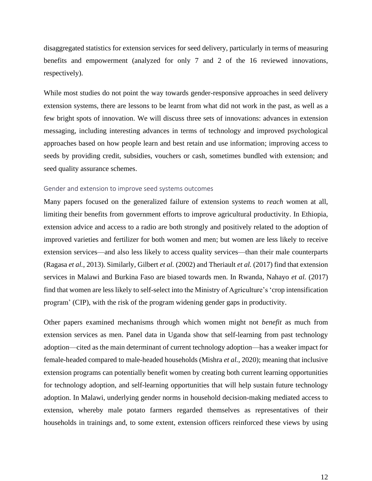disaggregated statistics for extension services for seed delivery, particularly in terms of measuring benefits and empowerment (analyzed for only 7 and 2 of the 16 reviewed innovations, respectively).

While most studies do not point the way towards gender-responsive approaches in seed delivery extension systems, there are lessons to be learnt from what did not work in the past, as well as a few bright spots of innovation. We will discuss three sets of innovations: advances in extension messaging, including interesting advances in terms of technology and improved psychological approaches based on how people learn and best retain and use information; improving access to seeds by providing credit, subsidies, vouchers or cash, sometimes bundled with extension; and seed quality assurance schemes.

#### <span id="page-11-0"></span>Gender and extension to improve seed systems outcomes

Many papers focused on the generalized failure of extension systems to *reach* women at all, limiting their benefits from government efforts to improve agricultural productivity. In Ethiopia, extension advice and access to a radio are both strongly and positively related to the adoption of improved varieties and fertilizer for both women and men; but women are less likely to receive extension services—and also less likely to access quality services—than their male counterparts (Ragasa *et al.*, 2013). Similarly, Gilbert *et al.* (2002) and Theriault *et al.* (2017) find that extension services in Malawi and Burkina Faso are biased towards men. In Rwanda, Nahayo *et al.* (2017) find that women are less likely to self-select into the Ministry of Agriculture's 'crop intensification program' (CIP), with the risk of the program widening gender gaps in productivity.

Other papers examined mechanisms through which women might not *benefit* as much from extension services as men. Panel data in Uganda show that self-learning from past technology adoption—cited as the main determinant of current technology adoption—has a weaker impact for female-headed compared to male-headed households (Mishra *et al.*, 2020); meaning that inclusive extension programs can potentially benefit women by creating both current learning opportunities for technology adoption, and self-learning opportunities that will help sustain future technology adoption. In Malawi, underlying gender norms in household decision-making mediated access to extension, whereby male potato farmers regarded themselves as representatives of their households in trainings and, to some extent, extension officers reinforced these views by using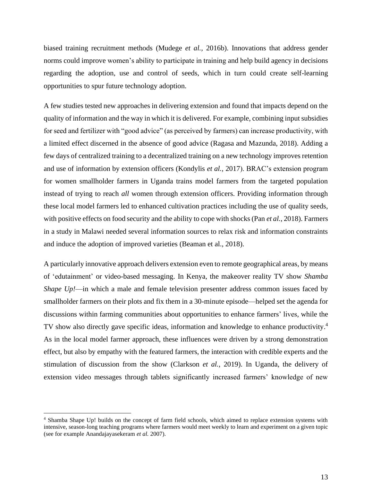biased training recruitment methods (Mudege *et al.,* 2016b). Innovations that address gender norms could improve women's ability to participate in training and help build agency in decisions regarding the adoption, use and control of seeds, which in turn could create self-learning opportunities to spur future technology adoption.

A few studies tested new approaches in delivering extension and found that impacts depend on the quality of information and the way in which it is delivered. For example, combining input subsidies for seed and fertilizer with "good advice" (as perceived by farmers) can increase productivity, with a limited effect discerned in the absence of good advice (Ragasa and Mazunda, 2018). Adding a few days of centralized training to a decentralized training on a new technology improves retention and use of information by extension officers (Kondylis *et al.,* 2017). BRAC's extension program for women smallholder farmers in Uganda trains model farmers from the targeted population instead of trying to reach *all* women through extension officers. Providing information through these local model farmers led to enhanced cultivation practices including the use of quality seeds, with positive effects on food security and the ability to cope with shocks(Pan *et al.*, 2018). Farmers in a study in Malawi needed several information sources to relax risk and information constraints and induce the adoption of improved varieties (Beaman et al., 2018).

A particularly innovative approach delivers extension even to remote geographical areas, by means of 'edutainment' or video-based messaging. In Kenya, the makeover reality TV show *Shamba Shape Up!*—in which a male and female television presenter address common issues faced by smallholder farmers on their plots and fix them in a 30-minute episode—helped set the agenda for discussions within farming communities about opportunities to enhance farmers' lives, while the TV show also directly gave specific ideas, information and knowledge to enhance productivity.<sup>4</sup> As in the local model farmer approach, these influences were driven by a strong demonstration effect, but also by empathy with the featured farmers, the interaction with credible experts and the stimulation of discussion from the show (Clarkson *et al.,* 2019). In Uganda, the delivery of extension video messages through tablets significantly increased farmers' knowledge of new

<sup>4</sup> Shamba Shape Up! builds on the concept of farm field schools, which aimed to replace extension systems with intensive, season-long teaching programs where farmers would meet weekly to learn and experiment on a given topic (see for example Anandajayasekeram *et al.* 2007).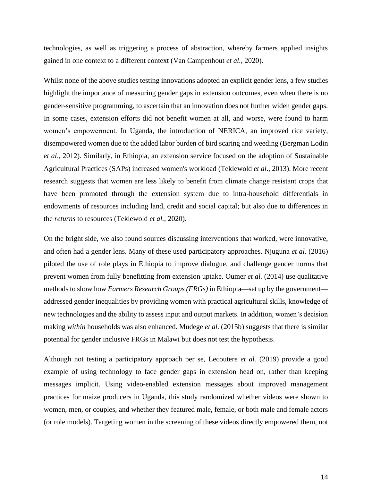technologies, as well as triggering a process of abstraction, whereby farmers applied insights gained in one context to a different context (Van Campenhout *et al.*, 2020).

Whilst none of the above studies testing innovations adopted an explicit gender lens, a few studies highlight the importance of measuring gender gaps in extension outcomes, even when there is no gender-sensitive programming, to ascertain that an innovation does not further widen gender gaps. In some cases, extension efforts did not benefit women at all, and worse, were found to harm women's empowerment. In Uganda, the introduction of NERICA, an improved rice variety, disempowered women due to the added labor burden of bird scaring and weeding (Bergman Lodin *et al*., 2012). Similarly, in Ethiopia, an extension service focused on the adoption of Sustainable Agricultural Practices (SAPs) increased women's workload (Teklewold *et al*., 2013). More recent research suggests that women are less likely to benefit from climate change resistant crops that have been promoted through the extension system due to intra-household differentials in endowments of resources including land, credit and social capital; but also due to differences in the *returns* to resources (Teklewold *et al.*, 2020).

On the bright side, we also found sources discussing interventions that worked, were innovative, and often had a gender lens. Many of these used participatory approaches. Njuguna *et al.* (2016) piloted the use of role plays in Ethiopia to improve dialogue, and challenge gender norms that prevent women from fully benefitting from extension uptake. Oumer *et al.* (2014) use qualitative methods to show how *Farmers Research Groups (FRGs)* in Ethiopia—set up by the government addressed gender inequalities by providing women with practical agricultural skills, knowledge of new technologies and the ability to assess input and output markets. In addition, women's decision making *within* households was also enhanced. Mudege *et al.* (2015b) suggests that there is similar potential for gender inclusive FRGs in Malawi but does not test the hypothesis.

Although not testing a participatory approach per se, Lecoutere *et al.* (2019) provide a good example of using technology to face gender gaps in extension head on, rather than keeping messages implicit. Using video-enabled extension messages about improved management practices for maize producers in Uganda, this study randomized whether videos were shown to women, men, or couples, and whether they featured male, female, or both male and female actors (or role models). Targeting women in the screening of these videos directly empowered them, not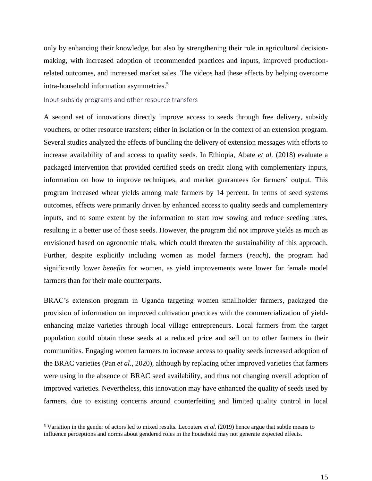only by enhancing their knowledge, but also by strengthening their role in agricultural decisionmaking, with increased adoption of recommended practices and inputs, improved productionrelated outcomes, and increased market sales. The videos had these effects by helping overcome intra-household information asymmetries. 5

<span id="page-14-0"></span>Input subsidy programs and other resource transfers

A second set of innovations directly improve access to seeds through free delivery, subsidy vouchers, or other resource transfers; either in isolation or in the context of an extension program. Several studies analyzed the effects of bundling the delivery of extension messages with efforts to increase availability of and access to quality seeds. In Ethiopia, Abate *et al.* (2018) evaluate a packaged intervention that provided certified seeds on credit along with complementary inputs, information on how to improve techniques, and market guarantees for farmers' output. This program increased wheat yields among male farmers by 14 percent. In terms of seed systems outcomes, effects were primarily driven by enhanced access to quality seeds and complementary inputs, and to some extent by the information to start row sowing and reduce seeding rates, resulting in a better use of those seeds. However, the program did not improve yields as much as envisioned based on agronomic trials, which could threaten the sustainability of this approach. Further, despite explicitly including women as model farmers (*reach*), the program had significantly lower *benefits* for women, as yield improvements were lower for female model farmers than for their male counterparts.

BRAC's extension program in Uganda targeting women smallholder farmers, packaged the provision of information on improved cultivation practices with the commercialization of yieldenhancing maize varieties through local village entrepreneurs. Local farmers from the target population could obtain these seeds at a reduced price and sell on to other farmers in their communities. Engaging women farmers to increase access to quality seeds increased adoption of the BRAC varieties (Pan *et al.*, 2020), although by replacing other improved varieties that farmers were using in the absence of BRAC seed availability, and thus not changing overall adoption of improved varieties. Nevertheless, this innovation may have enhanced the quality of seeds used by farmers, due to existing concerns around counterfeiting and limited quality control in local

<sup>5</sup> Variation in the gender of actors led to mixed results. Lecoutere *et al.* (2019) hence argue that subtle means to influence perceptions and norms about gendered roles in the household may not generate expected effects.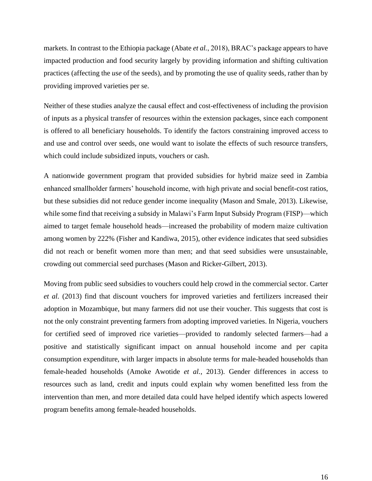markets. In contrast to the Ethiopia package (Abate *et al.*, 2018), BRAC's package appears to have impacted production and food security largely by providing information and shifting cultivation practices (affecting the *use* of the seeds), and by promoting the use of quality seeds, rather than by providing improved varieties per se.

Neither of these studies analyze the causal effect and cost-effectiveness of including the provision of inputs as a physical transfer of resources within the extension packages, since each component is offered to all beneficiary households. To identify the factors constraining improved access to and use and control over seeds, one would want to isolate the effects of such resource transfers, which could include subsidized inputs, vouchers or cash.

A nationwide government program that provided subsidies for hybrid maize seed in Zambia enhanced smallholder farmers' household income, with high private and social benefit-cost ratios, but these subsidies did not reduce gender income inequality (Mason and Smale, 2013). Likewise, while some find that receiving a subsidy in Malawi's Farm Input Subsidy Program (FISP)—which aimed to target female household heads—increased the probability of modern maize cultivation among women by 222% (Fisher and Kandiwa, 2015), other evidence indicates that seed subsidies did not reach or benefit women more than men; and that seed subsidies were unsustainable, crowding out commercial seed purchases (Mason and Ricker-Gilbert, 2013).

Moving from public seed subsidies to vouchers could help crowd in the commercial sector. Carter *et al.* (2013) find that discount vouchers for improved varieties and fertilizers increased their adoption in Mozambique, but many farmers did not use their voucher. This suggests that cost is not the only constraint preventing farmers from adopting improved varieties. In Nigeria, vouchers for certified seed of improved rice varieties—provided to randomly selected farmers—had a positive and statistically significant impact on annual household income and per capita consumption expenditure, with larger impacts in absolute terms for male-headed households than female-headed households (Amoke Awotide *et al.*, 2013). Gender differences in access to resources such as land, credit and inputs could explain why women benefitted less from the intervention than men, and more detailed data could have helped identify which aspects lowered program benefits among female-headed households.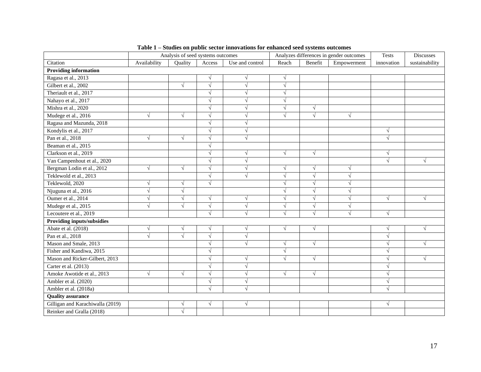|                                   | Analysis of seed systems outcomes |            |            | Analyzes differences in gender outcomes |            |            | Tests       | Discusses  |                |
|-----------------------------------|-----------------------------------|------------|------------|-----------------------------------------|------------|------------|-------------|------------|----------------|
| Citation                          | Availability                      | Quality    | Access     | Use and control                         | Reach      | Benefit    | Empowerment | innovation | sustainability |
| <b>Providing information</b>      |                                   |            |            |                                         |            |            |             |            |                |
| Ragasa et al., 2013               |                                   |            | $\sqrt{}$  | $\sqrt{ }$                              | $\sqrt{}$  |            |             |            |                |
| Gilbert et al., 2002              |                                   | $\sqrt{ }$ | $\sqrt{}$  | $\sqrt{ }$                              | $\sqrt{ }$ |            |             |            |                |
| Theriault et al., 2017            |                                   |            | $\sqrt{ }$ | $\sqrt{ }$                              | $\sqrt{ }$ |            |             |            |                |
| Nahayo et al., 2017               |                                   |            | $\sqrt{}$  | $\sqrt{ }$                              | $\sqrt{ }$ |            |             |            |                |
| Mishra et al., 2020               |                                   |            | $\sqrt{ }$ | $\sqrt{ }$                              | $\sqrt{ }$ | $\sqrt{}$  |             |            |                |
| Mudege et al., 2016               | $\sqrt{}$                         | $\sqrt{ }$ | $\sqrt{ }$ | $\sqrt{ }$                              | $\sqrt{ }$ | $\sqrt{}$  | $\sqrt{}$   |            |                |
| Ragasa and Mazunda, 2018          |                                   |            | V          | $\sqrt{ }$                              |            |            |             |            |                |
| Kondylis et al., 2017             |                                   |            | V          | $\sqrt{ }$                              |            |            |             | $\sqrt{}$  |                |
| Pan et al., 2018                  | $\sqrt{}$                         | $\sqrt{ }$ | $\sqrt{ }$ | $\sqrt{ }$                              |            |            |             | $\sqrt{ }$ |                |
| Beaman et al., 2015               |                                   |            | V          |                                         |            |            |             |            |                |
| Clarkson et al., 2019             |                                   |            | $\sqrt{}$  | $\sqrt{ }$                              | $\sqrt{ }$ | $\sqrt{}$  |             | $\sqrt{ }$ |                |
| Van Campenhout et al., 2020       |                                   |            | $\sqrt{ }$ | $\sqrt{ }$                              |            |            |             | $\sqrt{ }$ | $\sqrt{ }$     |
| Bergman Lodin et al., 2012        | $\sqrt{ }$                        | $\sqrt{ }$ | $\sqrt{ }$ | $\sqrt{ }$                              | $\sqrt{ }$ | $\sqrt{}$  | $\sqrt{ }$  |            |                |
| Teklewold et al., 2013            |                                   |            | $\sqrt{ }$ | $\sqrt{ }$                              | $\sqrt{2}$ | $\sqrt{ }$ | N           |            |                |
| Teklewold, 2020                   | $\sqrt{}$                         | $\sqrt{ }$ | $\sqrt{ }$ |                                         | $\sqrt{ }$ | $\sqrt{}$  | $\sqrt{ }$  |            |                |
| Njuguna et al., 2016              | $\sqrt{}$                         | $\sqrt{ }$ |            |                                         | $\sqrt{ }$ | $\sqrt{}$  | N           |            |                |
| Oumer et al., 2014                | $\sqrt{}$                         | $\sqrt{ }$ | $\sqrt{ }$ | $\sqrt{ }$                              | $\sqrt{ }$ | $\sqrt{}$  | N           | $\sqrt{ }$ | $\sqrt{ }$     |
| Mudege et al., 2015               | $\sqrt{ }$                        | $\sqrt{ }$ | $\sqrt{ }$ | $\sqrt{ }$                              |            | $\sqrt{}$  | $\sqrt{ }$  |            |                |
| Lecoutere et al., 2019            |                                   |            | $\sqrt{}$  | $\sqrt{ }$                              |            | $\sqrt{2}$ | $\sqrt{ }$  | $\sqrt{ }$ |                |
| <b>Providing inputs/subsidies</b> |                                   |            |            |                                         |            |            |             |            |                |
| Abate et al. (2018)               | $\sqrt{ }$                        | $\sqrt{ }$ | $\sqrt{ }$ | $\sqrt{ }$                              | $\sqrt{}$  | $\sqrt{ }$ |             | $\sqrt{}$  | $\sqrt{ }$     |
| Pan et al., 2018                  | $\sqrt{}$                         | $\sqrt{}$  | $\sqrt{ }$ | $\sqrt{ }$                              |            |            |             | $\sqrt{}$  |                |
| Mason and Smale, 2013             |                                   |            | V          | $\sqrt{ }$                              | V          | $\sqrt{ }$ |             | V          | V              |
| Fisher and Kandiwa, 2015          |                                   |            | √          |                                         | $\sqrt{ }$ |            |             | $\sqrt{}$  |                |
| Mason and Ricker-Gilbert, 2013    |                                   |            | $\sqrt{}$  | $\sqrt{ }$                              |            | $\sqrt{ }$ |             | $\sqrt{}$  |                |
| Carter et al. (2013)              |                                   |            | $\sqrt{ }$ | $\sqrt{ }$                              |            |            |             | V          |                |
| Amoke Awotide et al., 2013        | $\sqrt{ }$                        | $\sqrt{ }$ | $\sqrt{ }$ | $\sqrt{ }$                              | $\sqrt{ }$ | $\sqrt{}$  |             | $\sqrt{ }$ |                |
| Ambler et al. (2020)              |                                   |            | $\sqrt{}$  | $\sqrt{ }$                              |            |            |             | $\sqrt{ }$ |                |
| Ambler et al. (2018a)             |                                   |            | $\sqrt{ }$ | $\sqrt{ }$                              |            |            |             | $\sqrt{}$  |                |
| <b>Quality assurance</b>          |                                   |            |            |                                         |            |            |             |            |                |
| Gilligan and Karachiwalla (2019)  |                                   | $\sqrt{ }$ | $\sqrt{ }$ | $\sqrt{ }$                              |            |            |             | $\sqrt{}$  |                |
| Reinker and Gralla (2018)         |                                   | $\sqrt{ }$ |            |                                         |            |            |             |            |                |

|  |  |  | Table 1 – Studies on public sector innovations for enhanced seed systems outcomes |
|--|--|--|-----------------------------------------------------------------------------------|
|--|--|--|-----------------------------------------------------------------------------------|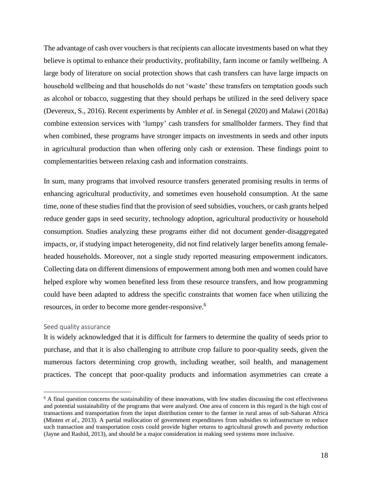The advantage of cash over vouchers is that recipients can allocate investments based on what they believe is optimal to enhance their productivity, profitability, farm income or family wellbeing. A large body of literature on social protection shows that cash transfers can have large impacts on household wellbeing and that households do not 'waste' these transfers on temptation goods such as alcohol or tobacco, suggesting that they should perhaps be utilized in the seed delivery space (Devereux, S., 2016). Recent experiments by Ambler *et al.* in Senegal (2020) and Malawi (2018a) combine extension services with 'lumpy' cash transfers for smallholder farmers. They find that when combined, these programs have stronger impacts on investments in seeds and other inputs in agricultural production than when offering only cash or extension. These findings point to complementarities between relaxing cash and information constraints.

In sum, many programs that involved resource transfers generated promising results in terms of enhancing agricultural productivity, and sometimes even household consumption. At the same time, none of these studies find that the provision of seed subsidies, vouchers, or cash grants helped reduce gender gaps in seed security, technology adoption, agricultural productivity or household consumption. Studies analyzing these programs either did not document gender-disaggregated impacts, or, if studying impact heterogeneity, did not find relatively larger benefits among femaleheaded households. Moreover, not a single study reported measuring empowerment indicators. Collecting data on different dimensions of empowerment among both men and women could have helped explore why women benefited less from these resource transfers, and how programming could have been adapted to address the specific constraints that women face when utilizing the resources, in order to become more gender-responsive.<sup>6</sup>

#### <span id="page-17-0"></span>Seed quality assurance

It is widely acknowledged that it is difficult for farmers to determine the quality of seeds prior to purchase, and that it is also challenging to attribute crop failure to poor-quality seeds, given the numerous factors determining crop growth, including weather, soil health, and management practices. The concept that poor-quality products and information asymmetries can create a

 $6$  A final question concerns the sustainability of these innovations, with few studies discussing the cost effectiveness and potential sustainability of the programs that were analyzed. One area of concern in this regard is the high cost of transactions and transportation from the input distribution center to the farmer in rural areas of sub-Saharan Africa (Minten *et al.*, 2013). A partial reallocation of government expenditures from subsidies to infrastructure to reduce such transaction and transportation costs could provide higher returns to agricultural growth and poverty reduction (Jayne and Rashid, 2013), and should be a major consideration in making seed systems more inclusive.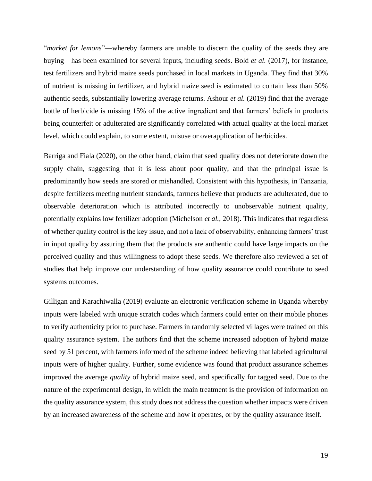"*market for lemons*"—whereby farmers are unable to discern the quality of the seeds they are buying—has been examined for several inputs, including seeds. Bold *et al.* (2017), for instance, test fertilizers and hybrid maize seeds purchased in local markets in Uganda. They find that 30% of nutrient is missing in fertilizer, and hybrid maize seed is estimated to contain less than 50% authentic seeds, substantially lowering average returns. Ashour *et al.* (2019) find that the average bottle of herbicide is missing 15% of the active ingredient and that farmers' beliefs in products being counterfeit or adulterated are significantly correlated with actual quality at the local market level, which could explain, to some extent, misuse or overapplication of herbicides.

Barriga and Fiala (2020), on the other hand, claim that seed quality does not deteriorate down the supply chain, suggesting that it is less about poor quality, and that the principal issue is predominantly how seeds are stored or mishandled. Consistent with this hypothesis, in Tanzania, despite fertilizers meeting nutrient standards, farmers believe that products are adulterated, due to observable deterioration which is attributed incorrectly to unobservable nutrient quality, potentially explains low fertilizer adoption (Michelson *et al.*, 2018). This indicates that regardless of whether quality control is the key issue, and not a lack of observability, enhancing farmers' trust in input quality by assuring them that the products are authentic could have large impacts on the perceived quality and thus willingness to adopt these seeds. We therefore also reviewed a set of studies that help improve our understanding of how quality assurance could contribute to seed systems outcomes.

Gilligan and Karachiwalla (2019) evaluate an electronic verification scheme in Uganda whereby inputs were labeled with unique scratch codes which farmers could enter on their mobile phones to verify authenticity prior to purchase. Farmers in randomly selected villages were trained on this quality assurance system. The authors find that the scheme increased adoption of hybrid maize seed by 51 percent, with farmers informed of the scheme indeed believing that labeled agricultural inputs were of higher quality. Further, some evidence was found that product assurance schemes improved the average *quality* of hybrid maize seed, and specifically for tagged seed. Due to the nature of the experimental design, in which the main treatment is the provision of information on the quality assurance system, this study does not address the question whether impacts were driven by an increased awareness of the scheme and how it operates, or by the quality assurance itself.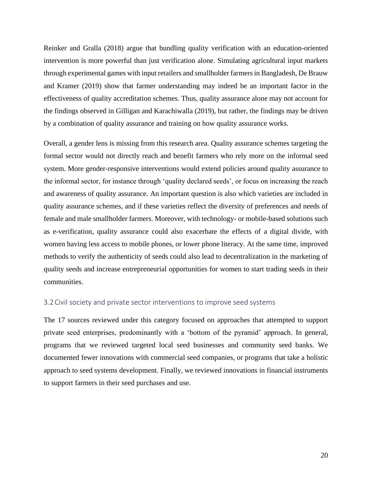Reinker and Gralla (2018) argue that bundling quality verification with an education-oriented intervention is more powerful than just verification alone. Simulating agricultural input markets through experimental games with input retailers and smallholder farmers in Bangladesh, De Brauw and Kramer (2019) show that farmer understanding may indeed be an important factor in the effectiveness of quality accreditation schemes. Thus, quality assurance alone may not account for the findings observed in Gilligan and Karachiwalla (2019), but rather, the findings may be driven by a combination of quality assurance and training on how quality assurance works.

Overall, a gender lens is missing from this research area. Quality assurance schemes targeting the formal sector would not directly reach and benefit farmers who rely more on the informal seed system. More gender-responsive interventions would extend policies around quality assurance to the informal sector, for instance through 'quality declared seeds', or focus on increasing the reach and awareness of quality assurance. An important question is also which varieties are included in quality assurance schemes, and if these varieties reflect the diversity of preferences and needs of female and male smallholder farmers. Moreover, with technology- or mobile-based solutions such as e-verification, quality assurance could also exacerbate the effects of a digital divide, with women having less access to mobile phones, or lower phone literacy. At the same time, improved methods to verify the authenticity of seeds could also lead to decentralization in the marketing of quality seeds and increase entrepreneurial opportunities for women to start trading seeds in their communities.

#### <span id="page-19-0"></span>3.2Civil society and private sector interventions to improve seed systems

The 17 sources reviewed under this category focused on approaches that attempted to support private seed enterprises, predominantly with a 'bottom of the pyramid' approach. In general, programs that we reviewed targeted local seed businesses and community seed banks. We documented fewer innovations with commercial seed companies, or programs that take a holistic approach to seed systems development. Finally, we reviewed innovations in financial instruments to support farmers in their seed purchases and use.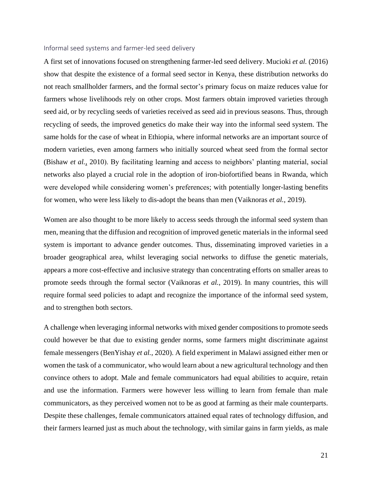#### <span id="page-20-0"></span>Informal seed systems and farmer-led seed delivery

A first set of innovations focused on strengthening farmer-led seed delivery. Mucioki *et al.* (2016) show that despite the existence of a formal seed sector in Kenya, these distribution networks do not reach smallholder farmers, and the formal sector's primary focus on maize reduces value for farmers whose livelihoods rely on other crops. Most farmers obtain improved varieties through seed aid, or by recycling seeds of varieties received as seed aid in previous seasons. Thus, through recycling of seeds, the improved genetics do make their way into the informal seed system. The same holds for the case of wheat in Ethiopia, where informal networks are an important source of modern varieties, even among farmers who initially sourced wheat seed from the formal sector (Bishaw *et al.,* 2010). By facilitating learning and access to neighbors' planting material, social networks also played a crucial role in the adoption of iron-biofortified beans in Rwanda, which were developed while considering women's preferences; with potentially longer-lasting benefits for women, who were less likely to dis-adopt the beans than men (Vaiknoras *et al.*, 2019).

Women are also thought to be more likely to access seeds through the informal seed system than men, meaning that the diffusion and recognition of improved genetic materials in the informal seed system is important to advance gender outcomes. Thus, disseminating improved varieties in a broader geographical area, whilst leveraging social networks to diffuse the genetic materials, appears a more cost-effective and inclusive strategy than concentrating efforts on smaller areas to promote seeds through the formal sector (Vaiknoras *et al.*, 2019). In many countries, this will require formal seed policies to adapt and recognize the importance of the informal seed system, and to strengthen both sectors.

A challenge when leveraging informal networks with mixed gender compositions to promote seeds could however be that due to existing gender norms, some farmers might discriminate against female messengers (BenYishay *et al.*, 2020). A field experiment in Malawi assigned either men or women the task of a communicator, who would learn about a new agricultural technology and then convince others to adopt. Male and female communicators had equal abilities to acquire, retain and use the information. Farmers were however less willing to learn from female than male communicators, as they perceived women not to be as good at farming as their male counterparts. Despite these challenges, female communicators attained equal rates of technology diffusion, and their farmers learned just as much about the technology, with similar gains in farm yields, as male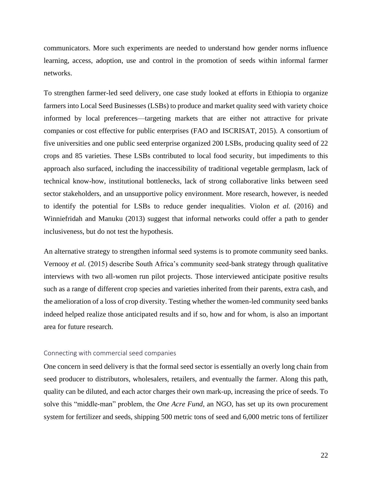communicators. More such experiments are needed to understand how gender norms influence learning, access, adoption, use and control in the promotion of seeds within informal farmer networks.

To strengthen farmer-led seed delivery, one case study looked at efforts in Ethiopia to organize farmers into Local Seed Businesses (LSBs) to produce and market quality seed with variety choice informed by local preferences—targeting markets that are either not attractive for private companies or cost effective for public enterprises (FAO and ISCRISAT, 2015). A consortium of five universities and one public seed enterprise organized 200 LSBs, producing quality seed of 22 crops and 85 varieties. These LSBs contributed to local food security, but impediments to this approach also surfaced, including the inaccessibility of traditional vegetable germplasm, lack of technical know-how, institutional bottlenecks, lack of strong collaborative links between seed sector stakeholders, and an unsupportive policy environment. More research, however, is needed to identify the potential for LSBs to reduce gender inequalities. Violon *et al.* (2016) and Winniefridah and Manuku (2013) suggest that informal networks could offer a path to gender inclusiveness, but do not test the hypothesis.

An alternative strategy to strengthen informal seed systems is to promote community seed banks. Vernooy *et al.* (2015) describe South Africa's community seed-bank strategy through qualitative interviews with two all-women run pilot projects. Those interviewed anticipate positive results such as a range of different crop species and varieties inherited from their parents, extra cash, and the amelioration of a loss of crop diversity. Testing whether the women-led community seed banks indeed helped realize those anticipated results and if so, how and for whom, is also an important area for future research.

#### <span id="page-21-0"></span>Connecting with commercial seed companies

One concern in seed delivery is that the formal seed sector is essentially an overly long chain from seed producer to distributors, wholesalers, retailers, and eventually the farmer. Along this path, quality can be diluted, and each actor charges their own mark-up, increasing the price of seeds. To solve this "middle-man" problem, the *One Acre Fund*, an NGO, has set up its own procurement system for fertilizer and seeds, shipping 500 metric tons of seed and 6,000 metric tons of fertilizer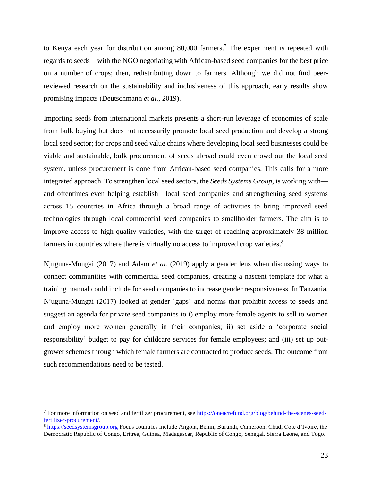to Kenya each year for distribution among 80,000 farmers. <sup>7</sup> The experiment is repeated with regards to seeds—with the NGO negotiating with African-based seed companies for the best price on a number of crops; then, redistributing down to farmers. Although we did not find peerreviewed research on the sustainability and inclusiveness of this approach, early results show promising impacts (Deutschmann *et al.*, 2019).

Importing seeds from international markets presents a short-run leverage of economies of scale from bulk buying but does not necessarily promote local seed production and develop a strong local seed sector; for crops and seed value chains where developing local seed businesses could be viable and sustainable, bulk procurement of seeds abroad could even crowd out the local seed system, unless procurement is done from African-based seed companies. This calls for a more integrated approach. To strengthen local seed sectors, the *Seeds Systems Group*, is working with and oftentimes even helping establish—local seed companies and strengthening seed systems across 15 countries in Africa through a broad range of activities to bring improved seed technologies through local commercial seed companies to smallholder farmers. The aim is to improve access to high-quality varieties, with the target of reaching approximately 38 million farmers in countries where there is virtually no access to improved crop varieties.<sup>8</sup>

Njuguna-Mungai (2017) and Adam *et al.* (2019) apply a gender lens when discussing ways to connect communities with commercial seed companies, creating a nascent template for what a training manual could include for seed companies to increase gender responsiveness. In Tanzania, Njuguna-Mungai (2017) looked at gender 'gaps' and norms that prohibit access to seeds and suggest an agenda for private seed companies to i) employ more female agents to sell to women and employ more women generally in their companies; ii) set aside a 'corporate social responsibility' budget to pay for childcare services for female employees; and (iii) set up outgrower schemes through which female farmers are contracted to produce seeds. The outcome from such recommendations need to be tested.

<sup>7</sup> For more information on seed and fertilizer procurement, see [https://oneacrefund.org/blog/behind-the-scenes-seed](https://oneacrefund.org/blog/behind-the-scenes-seed-fertilizer-procurement/)[fertilizer-procurement/.](https://oneacrefund.org/blog/behind-the-scenes-seed-fertilizer-procurement/)

<sup>&</sup>lt;sup>8</sup> [https://seedsystemsgroup.org](https://seedsystemsgroup.org/) Focus countries include Angola, Benin, Burundi, Cameroon, Chad, Cote d'Ivoire, the Democratic Republic of Congo, Eritrea, Guinea, Madagascar, Republic of Congo, Senegal, Sierra Leone, and Togo.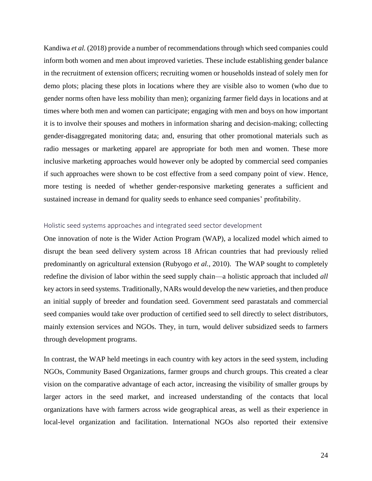Kandiwa *et al.* (2018) provide a number of recommendations through which seed companies could inform both women and men about improved varieties. These include establishing gender balance in the recruitment of extension officers; recruiting women or households instead of solely men for demo plots; placing these plots in locations where they are visible also to women (who due to gender norms often have less mobility than men); organizing farmer field days in locations and at times where both men and women can participate; engaging with men and boys on how important it is to involve their spouses and mothers in information sharing and decision-making; collecting gender-disaggregated monitoring data; and, ensuring that other promotional materials such as radio messages or marketing apparel are appropriate for both men and women. These more inclusive marketing approaches would however only be adopted by commercial seed companies if such approaches were shown to be cost effective from a seed company point of view. Hence, more testing is needed of whether gender-responsive marketing generates a sufficient and sustained increase in demand for quality seeds to enhance seed companies' profitability.

#### <span id="page-23-0"></span>Holistic seed systems approaches and integrated seed sector development

One innovation of note is the Wider Action Program (WAP), a localized model which aimed to disrupt the bean seed delivery system across 18 African countries that had previously relied predominantly on agricultural extension (Rubyogo *et al.,* 2010). The WAP sought to completely redefine the division of labor within the seed supply chain—a holistic approach that included *all*  key actors in seed systems. Traditionally, NARs would develop the new varieties, and then produce an initial supply of breeder and foundation seed. Government seed parastatals and commercial seed companies would take over production of certified seed to sell directly to select distributors, mainly extension services and NGOs. They, in turn, would deliver subsidized seeds to farmers through development programs.

In contrast, the WAP held meetings in each country with key actors in the seed system, including NGOs, Community Based Organizations, farmer groups and church groups. This created a clear vision on the comparative advantage of each actor, increasing the visibility of smaller groups by larger actors in the seed market, and increased understanding of the contacts that local organizations have with farmers across wide geographical areas, as well as their experience in local-level organization and facilitation. International NGOs also reported their extensive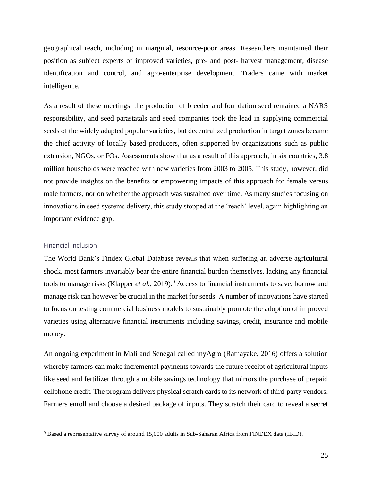geographical reach, including in marginal, resource-poor areas. Researchers maintained their position as subject experts of improved varieties, pre- and post- harvest management, disease identification and control, and agro-enterprise development. Traders came with market intelligence.

As a result of these meetings, the production of breeder and foundation seed remained a NARS responsibility, and seed parastatals and seed companies took the lead in supplying commercial seeds of the widely adapted popular varieties, but decentralized production in target zones became the chief activity of locally based producers, often supported by organizations such as public extension, NGOs, or FOs. Assessments show that as a result of this approach, in six countries, 3.8 million households were reached with new varieties from 2003 to 2005. This study, however, did not provide insights on the benefits or empowering impacts of this approach for female versus male farmers, nor on whether the approach was sustained over time. As many studies focusing on innovations in seed systems delivery, this study stopped at the 'reach' level, again highlighting an important evidence gap.

#### <span id="page-24-0"></span>Financial inclusion

The World Bank's Findex Global Database reveals that when suffering an adverse agricultural shock, most farmers invariably bear the entire financial burden themselves, lacking any financial tools to manage risks (Klapper *et al.*, 2019).<sup>9</sup> Access to financial instruments to save, borrow and manage risk can however be crucial in the market for seeds. A number of innovations have started to focus on testing commercial business models to sustainably promote the adoption of improved varieties using alternative financial instruments including savings, credit, insurance and mobile money.

An ongoing experiment in Mali and Senegal called myAgro (Ratnayake, 2016) offers a solution whereby farmers can make incremental payments towards the future receipt of agricultural inputs like seed and fertilizer through a mobile savings technology that mirrors the purchase of prepaid cellphone credit. The program delivers physical scratch cards to its network of third-party vendors. Farmers enroll and choose a desired package of inputs. They scratch their card to reveal a secret

<sup>9</sup> Based a representative survey of around 15,000 adults in Sub-Saharan Africa from FINDEX data (IBID).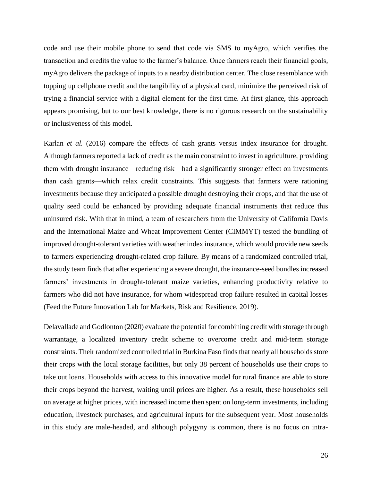code and use their mobile phone to send that code via SMS to myAgro, which verifies the transaction and credits the value to the farmer's balance. Once farmers reach their financial goals, myAgro delivers the package of inputs to a nearby distribution center. The close resemblance with topping up cellphone credit and the tangibility of a physical card, minimize the perceived risk of trying a financial service with a digital element for the first time. At first glance, this approach appears promising, but to our best knowledge, there is no rigorous research on the sustainability or inclusiveness of this model.

Karlan *et al.* (2016) compare the effects of cash grants versus index insurance for drought. Although farmers reported a lack of credit as the main constraint to invest in agriculture, providing them with drought insurance—reducing risk—had a significantly stronger effect on investments than cash grants—which relax credit constraints. This suggests that farmers were rationing investments because they anticipated a possible drought destroying their crops, and that the use of quality seed could be enhanced by providing adequate financial instruments that reduce this uninsured risk. With that in mind, a team of researchers from the University of California Davis and the International Maize and Wheat Improvement Center (CIMMYT) tested the bundling of improved drought-tolerant varieties with weather index insurance, which would provide new seeds to farmers experiencing drought-related crop failure. By means of a randomized controlled trial, the study team finds that after experiencing a severe drought, the insurance-seed bundles increased farmers' investments in drought-tolerant maize varieties, enhancing productivity relative to farmers who did not have insurance, for whom widespread crop failure resulted in capital losses (Feed the Future Innovation Lab for Markets, Risk and Resilience, 2019).

Delavallade and Godlonton (2020) evaluate the potential for combining credit with storage through warrantage, a localized inventory credit scheme to overcome credit and mid-term storage constraints. Their randomized controlled trial in Burkina Faso finds that nearly all households store their crops with the local storage facilities, but only 38 percent of households use their crops to take out loans. Households with access to this innovative model for rural finance are able to store their crops beyond the harvest, waiting until prices are higher. As a result, these households sell on average at higher prices, with increased income then spent on long-term investments, including education, livestock purchases, and agricultural inputs for the subsequent year. Most households in this study are male-headed, and although polygyny is common, there is no focus on intra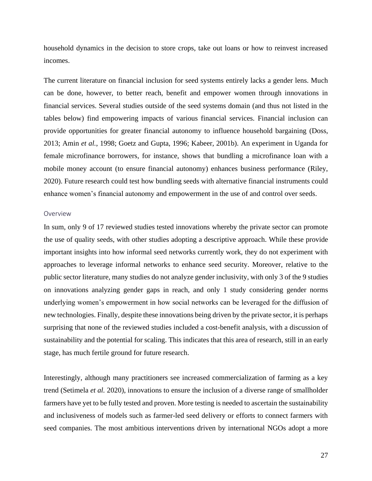household dynamics in the decision to store crops, take out loans or how to reinvest increased incomes.

The current literature on financial inclusion for seed systems entirely lacks a gender lens. Much can be done, however, to better reach, benefit and empower women through innovations in financial services. Several studies outside of the seed systems domain (and thus not listed in the tables below) find empowering impacts of various financial services. Financial inclusion can provide opportunities for greater financial autonomy to influence household bargaining (Doss, 2013; Amin *et al.*, 1998; Goetz and Gupta, 1996; Kabeer, 2001b). An experiment in Uganda for female microfinance borrowers, for instance, shows that bundling a microfinance loan with a mobile money account (to ensure financial autonomy) enhances business performance (Riley, 2020). Future research could test how bundling seeds with alternative financial instruments could enhance women's financial autonomy and empowerment in the use of and control over seeds.

#### <span id="page-26-0"></span>Overview

In sum, only 9 of 17 reviewed studies tested innovations whereby the private sector can promote the use of quality seeds, with other studies adopting a descriptive approach. While these provide important insights into how informal seed networks currently work, they do not experiment with approaches to leverage informal networks to enhance seed security. Moreover, relative to the public sector literature, many studies do not analyze gender inclusivity, with only 3 of the 9 studies on innovations analyzing gender gaps in reach, and only 1 study considering gender norms underlying women's empowerment in how social networks can be leveraged for the diffusion of new technologies. Finally, despite these innovations being driven by the private sector, it is perhaps surprising that none of the reviewed studies included a cost-benefit analysis, with a discussion of sustainability and the potential for scaling. This indicates that this area of research, still in an early stage, has much fertile ground for future research.

Interestingly, although many practitioners see increased commercialization of farming as a key trend (Setimela *et al.* 2020), innovations to ensure the inclusion of a diverse range of smallholder farmers have yet to be fully tested and proven. More testing is needed to ascertain the sustainability and inclusiveness of models such as farmer-led seed delivery or efforts to connect farmers with seed companies. The most ambitious interventions driven by international NGOs adopt a more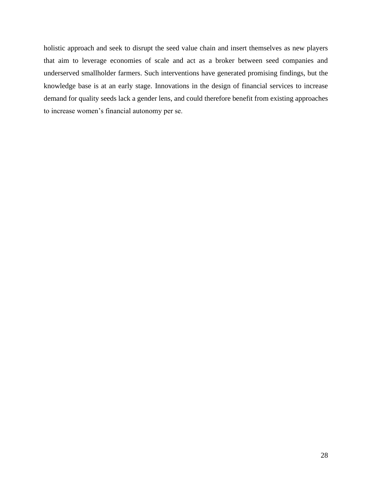holistic approach and seek to disrupt the seed value chain and insert themselves as new players that aim to leverage economies of scale and act as a broker between seed companies and underserved smallholder farmers. Such interventions have generated promising findings, but the knowledge base is at an early stage. Innovations in the design of financial services to increase demand for quality seeds lack a gender lens, and could therefore benefit from existing approaches to increase women's financial autonomy per se.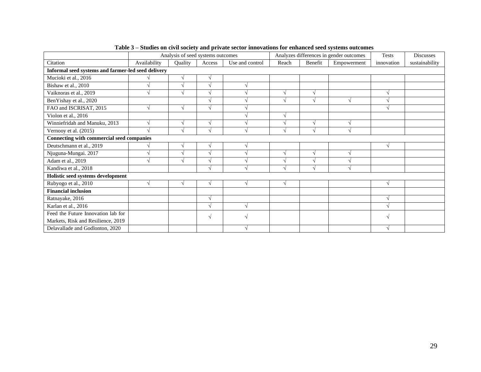|                                                    | Analysis of seed systems outcomes |         |        | Analyzes differences in gender outcomes |       |               | Tests       | <b>Discusses</b> |                |
|----------------------------------------------------|-----------------------------------|---------|--------|-----------------------------------------|-------|---------------|-------------|------------------|----------------|
| Citation                                           | Availability                      | Quality | Access | Use and control                         | Reach | Benefit       | Empowerment | innovation       | sustainability |
| Informal seed systems and farmer-led seed delivery |                                   |         |        |                                         |       |               |             |                  |                |
| Mucioki et al., 2016                               |                                   |         |        |                                         |       |               |             |                  |                |
| Bishaw et al., 2010                                |                                   |         |        |                                         |       |               |             |                  |                |
| Vaiknoras et al., 2019                             |                                   |         |        |                                         |       |               |             |                  |                |
| BenYishay et al., 2020                             |                                   |         |        |                                         |       |               |             |                  |                |
| FAO and ISCRISAT, 2015                             |                                   |         |        |                                         |       |               |             |                  |                |
| Violon et al., 2016                                |                                   |         |        |                                         |       |               |             |                  |                |
| Winniefridah and Manuku, 2013                      |                                   |         |        |                                         |       |               |             |                  |                |
| Vernooy et al. (2015)                              |                                   |         |        |                                         |       | $\mathcal{L}$ |             |                  |                |
| Connecting with commercial seed companies          |                                   |         |        |                                         |       |               |             |                  |                |
| Deutschmann et al., 2019                           |                                   |         |        |                                         |       |               |             |                  |                |
| Njuguna-Mungai. 2017                               |                                   |         |        |                                         |       |               |             |                  |                |
| Adam et al., 2019                                  |                                   |         |        |                                         |       |               |             |                  |                |
| Kandiwa et al., 2018                               |                                   |         |        |                                         |       |               |             |                  |                |
| Holistic seed systems development                  |                                   |         |        |                                         |       |               |             |                  |                |
| Rubyogo et al., 2010                               |                                   |         |        | $\mathcal{L}$                           |       |               |             |                  |                |
| <b>Financial inclusion</b>                         |                                   |         |        |                                         |       |               |             |                  |                |
| Ratnayake, 2016                                    |                                   |         |        |                                         |       |               |             |                  |                |
| Karlan et al., 2016                                |                                   |         |        |                                         |       |               |             |                  |                |
| Feed the Future Innovation lab for                 |                                   |         |        |                                         |       |               |             |                  |                |
| Markets, Risk and Resilience, 2019                 |                                   |         |        |                                         |       |               |             |                  |                |
| Delavallade and Godlonton, 2020                    |                                   |         |        |                                         |       |               |             |                  |                |

**Table 3 – Studies on civil society and private sector innovations for enhanced seed systems outcomes**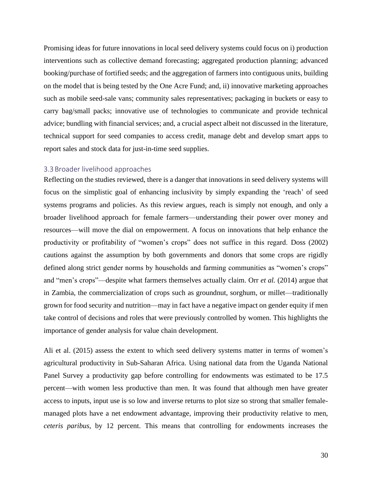Promising ideas for future innovations in local seed delivery systems could focus on i) production interventions such as collective demand forecasting; aggregated production planning; advanced booking/purchase of fortified seeds; and the aggregation of farmers into contiguous units, building on the model that is being tested by the One Acre Fund; and, ii) innovative marketing approaches such as mobile seed-sale vans; community sales representatives; packaging in buckets or easy to carry bag/small packs; innovative use of technologies to communicate and provide technical advice; bundling with financial services; and, a crucial aspect albeit not discussed in the literature, technical support for seed companies to access credit, manage debt and develop smart apps to report sales and stock data for just-in-time seed supplies.

#### <span id="page-29-0"></span>3.3Broader livelihood approaches

Reflecting on the studies reviewed, there is a danger that innovations in seed delivery systems will focus on the simplistic goal of enhancing inclusivity by simply expanding the 'reach' of seed systems programs and policies. As this review argues, reach is simply not enough, and only a broader livelihood approach for female farmers—understanding their power over money and resources—will move the dial on empowerment. A focus on innovations that help enhance the productivity or profitability of "women's crops" does not suffice in this regard. Doss (2002) cautions against the assumption by both governments and donors that some crops are rigidly defined along strict gender norms by households and farming communities as "women's crops" and "men's crops"—despite what farmers themselves actually claim. Orr *et al.* (2014) argue that in Zambia, the commercialization of crops such as groundnut, sorghum, or millet—traditionally grown for food security and nutrition—may in fact have a negative impact on gender equity if men take control of decisions and roles that were previously controlled by women. This highlights the importance of gender analysis for value chain development.

Ali et al. (2015) assess the extent to which seed delivery systems matter in terms of women's agricultural productivity in Sub-Saharan Africa. Using national data from the Uganda National Panel Survey a productivity gap before controlling for endowments was estimated to be 17.5 percent—with women less productive than men. It was found that although men have greater access to inputs, input use is so low and inverse returns to plot size so strong that smaller femalemanaged plots have a net endowment advantage, improving their productivity relative to men, *ceteris paribus*, by 12 percent. This means that controlling for endowments increases the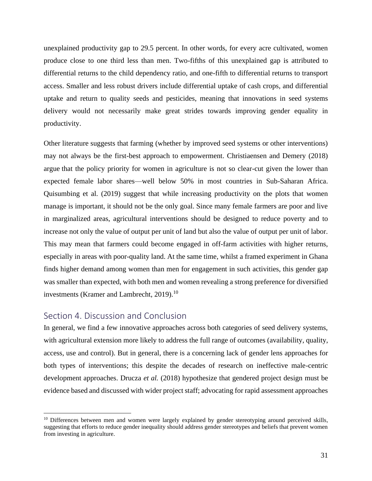unexplained productivity gap to 29.5 percent. In other words, for every acre cultivated, women produce close to one third less than men. Two-fifths of this unexplained gap is attributed to differential returns to the child dependency ratio, and one-fifth to differential returns to transport access. Smaller and less robust drivers include differential uptake of cash crops, and differential uptake and return to quality seeds and pesticides, meaning that innovations in seed systems delivery would not necessarily make great strides towards improving gender equality in productivity.

Other literature suggests that farming (whether by improved seed systems or other interventions) may not always be the first-best approach to empowerment. Christiaensen and Demery (2018) argue that the policy priority for women in agriculture is not so clear-cut given the lower than expected female labor shares—well below 50% in most countries in Sub-Saharan Africa. Quisumbing et al. (2019) suggest that while increasing productivity on the plots that women manage is important, it should not be the only goal. Since many female farmers are poor and live in marginalized areas, agricultural interventions should be designed to reduce poverty and to increase not only the value of output per unit of land but also the value of output per unit of labor. This may mean that farmers could become engaged in off-farm activities with higher returns, especially in areas with poor-quality land. At the same time, whilst a framed experiment in Ghana finds higher demand among women than men for engagement in such activities, this gender gap was smaller than expected, with both men and women revealing a strong preference for diversified investments (Kramer and Lambrecht, 2019).<sup>10</sup>

## <span id="page-30-0"></span>Section 4. Discussion and Conclusion

In general, we find a few innovative approaches across both categories of seed delivery systems, with agricultural extension more likely to address the full range of outcomes (availability, quality, access, use and control). But in general, there is a concerning lack of gender lens approaches for both types of interventions; this despite the decades of research on ineffective male-centric development approaches. Drucza *et al.* (2018) hypothesize that gendered project design must be evidence based and discussed with wider project staff; advocating for rapid assessment approaches

<sup>&</sup>lt;sup>10</sup> Differences between men and women were largely explained by gender stereotyping around perceived skills, suggesting that efforts to reduce gender inequality should address gender stereotypes and beliefs that prevent women from investing in agriculture.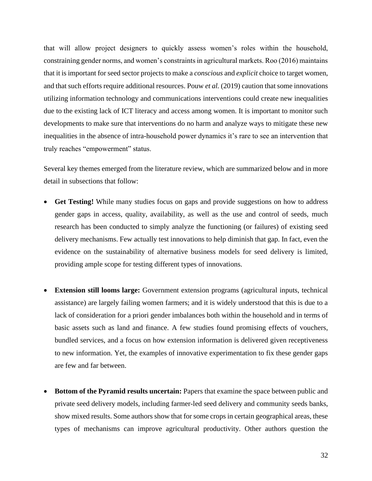that will allow project designers to quickly assess women's roles within the household, constraining gender norms, and women's constraints in agricultural markets. Roo (2016) maintains that it is important for seed sector projects to make a *conscious* and *explicit* choice to target women, and that such efforts require additional resources. Pouw *et al.* (2019) caution that some innovations utilizing information technology and communications interventions could create new inequalities due to the existing lack of ICT literacy and access among women. It is important to monitor such developments to make sure that interventions do no harm and analyze ways to mitigate these new inequalities in the absence of intra-household power dynamics it's rare to see an intervention that truly reaches "empowerment" status.

Several key themes emerged from the literature review, which are summarized below and in more detail in subsections that follow:

- **Get Testing!** While many studies focus on gaps and provide suggestions on how to address gender gaps in access, quality, availability, as well as the use and control of seeds, much research has been conducted to simply analyze the functioning (or failures) of existing seed delivery mechanisms. Few actually test innovations to help diminish that gap. In fact, even the evidence on the sustainability of alternative business models for seed delivery is limited, providing ample scope for testing different types of innovations.
- **Extension still looms large:** Government extension programs (agricultural inputs, technical assistance) are largely failing women farmers; and it is widely understood that this is due to a lack of consideration for a priori gender imbalances both within the household and in terms of basic assets such as land and finance. A few studies found promising effects of vouchers, bundled services, and a focus on how extension information is delivered given receptiveness to new information. Yet, the examples of innovative experimentation to fix these gender gaps are few and far between.
- **Bottom of the Pyramid results uncertain:** Papers that examine the space between public and private seed delivery models, including farmer-led seed delivery and community seeds banks, show mixed results. Some authors show that for some crops in certain geographical areas, these types of mechanisms can improve agricultural productivity. Other authors question the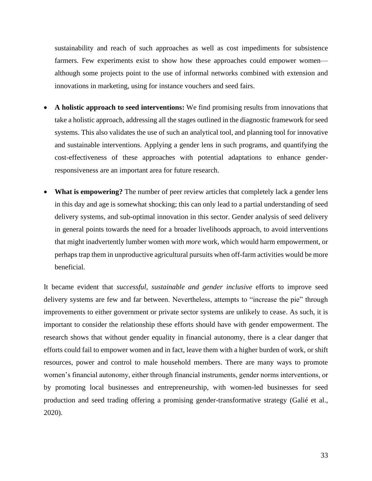sustainability and reach of such approaches as well as cost impediments for subsistence farmers. Few experiments exist to show how these approaches could empower women although some projects point to the use of informal networks combined with extension and innovations in marketing, using for instance vouchers and seed fairs.

- **A holistic approach to seed interventions:** We find promising results from innovations that take a holistic approach, addressing all the stages outlined in the diagnostic framework for seed systems. This also validates the use of such an analytical tool, and planning tool for innovative and sustainable interventions. Applying a gender lens in such programs, and quantifying the cost-effectiveness of these approaches with potential adaptations to enhance genderresponsiveness are an important area for future research.
- **What is empowering?** The number of peer review articles that completely lack a gender lens in this day and age is somewhat shocking; this can only lead to a partial understanding of seed delivery systems, and sub-optimal innovation in this sector. Gender analysis of seed delivery in general points towards the need for a broader livelihoods approach, to avoid interventions that might inadvertently lumber women with *more* work, which would harm empowerment, or perhaps trap them in unproductive agricultural pursuits when off-farm activities would be more beneficial.

It became evident that *successful, sustainable and gender inclusive* efforts to improve seed delivery systems are few and far between. Nevertheless, attempts to "increase the pie" through improvements to either government or private sector systems are unlikely to cease. As such, it is important to consider the relationship these efforts should have with gender empowerment. The research shows that without gender equality in financial autonomy, there is a clear danger that efforts could fail to empower women and in fact, leave them with a higher burden of work, or shift resources, power and control to male household members. There are many ways to promote women's financial autonomy, either through financial instruments, gender norms interventions, or by promoting local businesses and entrepreneurship, with women-led businesses for seed production and seed trading offering a promising gender-transformative strategy (Galié et al., 2020).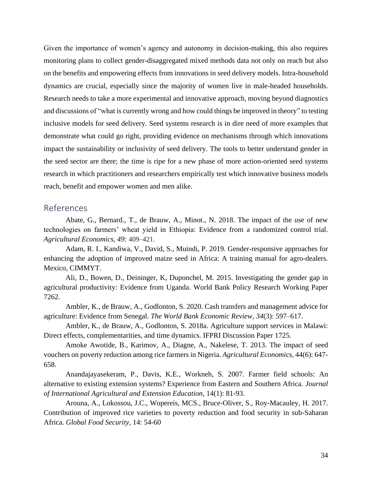Given the importance of women's agency and autonomy in decision-making, this also requires monitoring plans to collect gender-disaggregated mixed methods data not only on reach but also on the benefits and empowering effects from innovations in seed delivery models. Intra-household dynamics are crucial, especially since the majority of women live in male-headed households. Research needs to take a more experimental and innovative approach, moving beyond diagnostics and discussions of "what is currently wrong and how could things be improved in theory" to testing inclusive models for seed delivery. Seed systems research is in dire need of more examples that demonstrate what could go right, providing evidence on mechanisms through which innovations impact the sustainability or inclusivity of seed delivery. The tools to better understand gender in the seed sector are there; the time is ripe for a new phase of more action-oriented seed systems research in which practitioners and researchers empirically test which innovative business models reach, benefit and empower women and men alike.

### <span id="page-33-0"></span>References

Abate, G., Bernard., T., de Brauw, A., Minot., N. 2018. The impact of the use of new technologies on farmers' wheat yield in Ethiopia: Evidence from a randomized control trial. *Agricultural Economics, 49:* 409–421.

Adam, R. I., Kandiwa, V., David, S., Muindi, P. 2019. Gender-responsive approaches for enhancing the adoption of improved maize seed in Africa: A training manual for agro-dealers. Mexico, CIMMYT.

Ali, D., Bowen, D., Deininger, K, Duponchel, M. 2015. Investigating the gender gap in agricultural productivity: Evidence from Uganda. World Bank Policy Research Working Paper 7262.

Ambler, K., de Brauw, A., Godlonton, S. 2020. Cash transfers and management advice for agriculture: Evidence from Senegal. *The World Bank Economic Review, 34*(3): 597–617.

Ambler, K., de Brauw, A., Godlonton, S. 2018a. Agriculture support services in Malawi: Direct effects, complementarities, and time dynamics. IFPRI Discussion Paper 1725.

Amoke Awotide, B., Karimov, A., Diagne, A., Nakelese, T. 2013. The impact of seed vouchers on poverty reduction among rice farmers in Nigeria. *Agricultural Economics*, 44(6): 647- 658.

Anandajayasekeram, P., Davis, K.E., Workneh, S. 2007. Farmer field schools: An alternative to existing extension systems? Experience from Eastern and Southern Africa. *Journal of International Agricultural and Extension Education*, 14(1): 81-93.

Arouna, A., Lokossou, J.C., Wopereis, MCS., Bruce-Oliver, S., Roy-Macauley, H. 2017. Contribution of improved rice varieties to poverty reduction and food security in sub-Saharan Africa. *Global Food Security*, 14: 54-60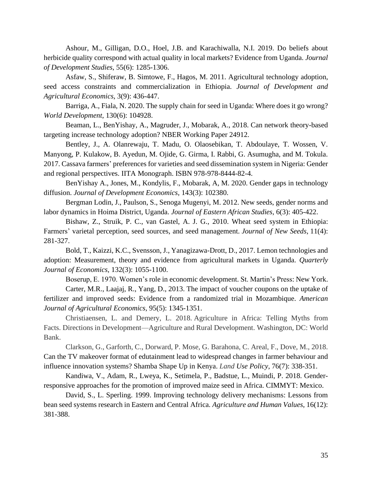Ashour, M., Gilligan, D.O., Hoel, J.B. and Karachiwalla, N.I. 2019. Do beliefs about herbicide quality correspond with actual quality in local markets? Evidence from Uganda. *Journal of Development Studies*, 55(6): 1285-1306.

Asfaw, S., Shiferaw, B. Simtowe, F., Hagos, M. 2011. Agricultural technology adoption, seed access constraints and commercialization in Ethiopia. *Journal of Development and Agricultural Economics*, 3(9): 436-447.

Barriga, A., Fiala, N. 2020. The supply chain for seed in Uganda: Where does it go wrong? *World Development*, 130(6): 104928.

Beaman, L., BenYishay, A., Magruder, J., Mobarak, A., 2018. Can network theory-based targeting increase technology adoption? NBER Working Paper 24912.

Bentley, J., A. Olanrewaju, T. Madu, O. Olaosebikan, T. Abdoulaye, T. Wossen, V. Manyong, P. Kulakow, B. Ayedun, M. Ojide, G. Girma, I. Rabbi, G. Asumugha, and M. Tokula. 2017. Cassava farmers' preferences for varieties and seed dissemination system in Nigeria: Gender and regional perspectives. IITA Monograph. ISBN 978-978-8444-82-4.

BenYishay A., Jones, M., Kondylis, F., Mobarak, A, M. 2020. Gender gaps in technology diffusion. *Journal of Development Economics*, 143(3): 102380.

Bergman Lodin, J., Paulson, S., Senoga Mugenyi, M. 2012. New seeds, gender norms and labor dynamics in Hoima District, Uganda. *Journal of Eastern African Studies*, 6(3): 405-422.

Bishaw, Z., Struik, P. C., van Gastel, A. J. G., 2010. Wheat seed system in Ethiopia: Farmers' varietal perception, seed sources, and seed management. *Journal of New Seeds*, 11(4): 281-327.

Bold, T., Kaizzi, K.C., Svensson, J., Yanagizawa-Drott, D., 2017. Lemon technologies and adoption: Measurement, theory and evidence from agricultural markets in Uganda. *Quarterly Journal of Economics*, 132(3): 1055-1100.

Boserup, E. 1970. Women's role in economic development. St. Martin's Press: New York.

Carter, M.R., Laajaj, R., Yang, D., 2013. The impact of voucher coupons on the uptake of fertilizer and improved seeds: Evidence from a randomized trial in Mozambique. *American Journal of Agricultural Economics*, 95(5): 1345-1351.

Christiaensen, L. and Demery, L. 2018. Agriculture in Africa: Telling Myths from Facts. Directions in Development—Agriculture and Rural Development. Washington, DC: World Bank.

Clarkson, G., Garforth, C., Dorward, P. Mose, G. Barahona, C. Areal, F., Dove, M., 2018. Can the TV makeover format of edutainment lead to widespread changes in farmer behaviour and influence innovation systems? Shamba Shape Up in Kenya. *Land Use Policy*, 76(7): 338-351.

Kandiwa, V., Adam, R., Lweya, K., Setimela, P., Badstue, L., Muindi, P. 2018. Genderresponsive approaches for the promotion of improved maize seed in Africa. CIMMYT: Mexico.

David, S., L. Sperling. 1999. Improving technology delivery mechanisms: Lessons from bean seed systems research in Eastern and Central Africa. *Agriculture and Human Values*, 16(12): 381-388.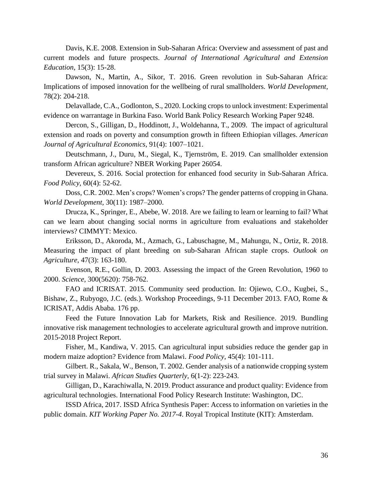Davis, K.E. 2008. Extension in Sub-Saharan Africa: Overview and assessment of past and current models and future prospects. *Journal of International Agricultural and Extension Education*, 15(3): 15-28.

Dawson, N., Martin, A., Sikor, T. 2016. Green revolution in Sub-Saharan Africa: Implications of imposed innovation for the wellbeing of rural smallholders. *World Development*, 78(2): 204-218.

Delavallade, C.A., Godlonton, S., 2020. Locking crops to unlock investment: Experimental evidence on warrantage in Burkina Faso. World Bank Policy Research Working Paper 9248.

Dercon, S., Gilligan, D., Hoddinott, J., Woldehanna, T., 2009. The impact of agricultural extension and roads on poverty and consumption growth in fifteen Ethiopian villages. *American Journal of Agricultural Economics*, 91(4): 1007–1021.

Deutschmann, J., Duru, M., Siegal, K., Tjernström, E. 2019. Can smallholder extension transform African agriculture? NBER Working Paper 26054.

Devereux, S. 2016. Social protection for enhanced food security in Sub-Saharan Africa. *Food Policy*, 60(4): 52-62.

Doss, C.R. 2002. Men's crops? Women's crops? The gender patterns of cropping in Ghana. *World Development,* 30(11): 1987–2000.

Drucza, K., Springer, E., Abebe, W. 2018. Are we failing to learn or learning to fail? What can we learn about changing social norms in agriculture from evaluations and stakeholder interviews? CIMMYT: Mexico.

Eriksson, D., Akoroda, M., Azmach, G., Labuschagne, M., Mahungu, N., Ortiz, R. 2018. Measuring the impact of plant breeding on sub-Saharan African staple crops. *Outlook on Agriculture*, 47(3): 163-180.

Evenson, R.E., Gollin, D. 2003. Assessing the impact of the Green Revolution, 1960 to 2000. *Science*, 300(5620): 758-762.

FAO and ICRISAT. 2015. Community seed production. In: Ojiewo, C.O., Kugbei, S., Bishaw, Z., Rubyogo, J.C. (eds.). Workshop Proceedings, 9-11 December 2013. FAO, Rome & ICRISAT, Addis Ababa. 176 pp.

Feed the Future Innovation Lab for Markets, Risk and Resilience. 2019. Bundling innovative risk management technologies to accelerate agricultural growth and improve nutrition. 2015-2018 Project Report.

Fisher, M., Kandiwa, V. 2015. Can agricultural input subsidies reduce the gender gap in modern maize adoption? Evidence from Malawi. *Food Policy*, 45(4): 101-111.

Gilbert. R., Sakala, W., Benson, T. 2002. Gender analysis of a nationwide cropping system trial survey in Malawi. *African Studies Quarterly,* 6(1-2): 223-243.

Gilligan, D., Karachiwalla, N. 2019. Product assurance and product quality: Evidence from agricultural technologies. International Food Policy Research Institute: Washington, DC.

ISSD Africa, 2017. ISSD Africa Synthesis Paper: Access to information on varieties in the public domain. *KIT Working Paper No. 2017-4*. Royal Tropical Institute (KIT): Amsterdam.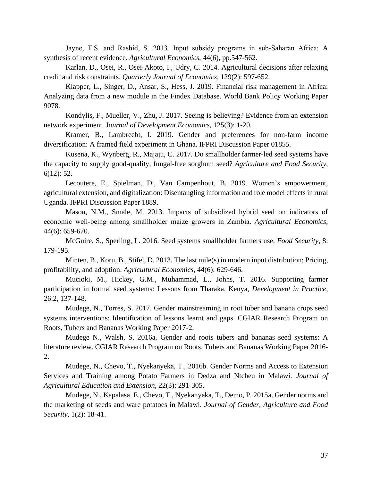Jayne, T.S. and Rashid, S. 2013. Input subsidy programs in sub‐Saharan Africa: A synthesis of recent evidence. *Agricultural Economics*, 44(6), pp.547-562.

Karlan, D., Osei, R., Osei-Akoto, I., Udry, C. 2014. Agricultural decisions after relaxing credit and risk constraints. *Quarterly Journal of Economics*, 129(2): 597-652.

Klapper, L., Singer, D., Ansar, S., Hess, J. 2019. Financial risk management in Africa: Analyzing data from a new module in the Findex Database. World Bank Policy Working Paper 9078.

Kondylis, F., Mueller, V., Zhu, J. 2017. Seeing is believing? Evidence from an extension network experiment. J*[ournal of Development Economics](https://www.sciencedirect.com/science/journal/03043878)*, 125(3): 1-20.

Kramer, B., Lambrecht, I. 2019. Gender and preferences for non-farm income diversification: A framed field experiment in Ghana. IFPRI Discussion Paper 01855.

Kusena, K., Wynberg, R., Majaju, C. 2017*.* Do smallholder farmer-led seed systems have the capacity to supply good-quality, fungal-free sorghum seed? *Agriculture and Food Security*, 6(12): 52.

Lecoutere, E., Spielman, D., Van Campenhout, B. 2019. Women's empowerment, agricultural extension, and digitalization: Disentangling information and role model effects in rural Uganda. IFPRI Discussion Paper 1889.

Mason, N.M., Smale, M. 2013. Impacts of subsidized hybrid seed on indicators of economic well‐being among smallholder maize growers in Zambia. *Agricultural Economics*, 44(6): 659-670.

McGuire, S., Sperling, L. 2016. Seed systems smallholder farmers use. *Food Security*, 8: 179-195.

Minten, B., Koru, B., Stifel, D. 2013. The last mile(s) in modern input distribution: Pricing, profitability, and adoption. *Agricultural Economics*, 44(6): 629-646.

Mucioki, M., Hickey, G.M., Muhammad, L., Johns, T. 2016. Supporting farmer participation in formal seed systems: Lessons from Tharaka, Kenya, *Development in Practice*, 26:2, 137-148.

Mudege, N., Torres, S. 2017. Gender mainstreaming in root tuber and banana crops seed systems interventions: Identification of lessons learnt and gaps. CGIAR Research Program on Roots, Tubers and Bananas Working Paper 2017-2.

Mudege N., Walsh, S. 2016a. Gender and roots tubers and bananas seed systems: A literature review. CGIAR Research Program on Roots, Tubers and Bananas Working Paper 2016- 2.

Mudege, N., Chevo, T., Nyekanyeka, T., 2016b. Gender Norms and Access to Extension Services and Training among Potato Farmers in Dedza and Ntcheu in Malawi. *Journal of Agricultural Education and Extension*, 22(3): 291-305.

Mudege, N., Kapalasa, E., Chevo, T., Nyekanyeka, T., Demo, P. 2015a. Gender norms and the marketing of seeds and ware potatoes in Malawi. *Journal of Gender, Agriculture and Food Security,* 1(2): 18-41.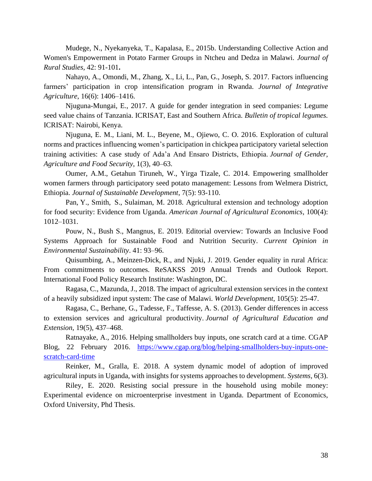Mudege, N., Nyekanyeka, T., Kapalasa, E., 2015b. Understanding Collective Action and Women's Empowerment in Potato Farmer Groups in Ntcheu and Dedza in Malawi. *Journal of Rural Studies,* 42: 91-101**.**

Nahayo, A., Omondi, M., Zhang, X., Li, L., Pan, G., Joseph, S. 2017. Factors influencing farmers' participation in crop intensification program in Rwanda. *Journal of Integrative Agriculture*, 16(6): 1406–1416.

Njuguna-Mungai, E., 2017. A guide for gender integration in seed companies: Legume seed value chains of Tanzania. ICRISAT, East and Southern Africa. *Bulletin of tropical legumes.*  ICRISAT: Nairobi, Kenya.

Njuguna, E. M., Liani, M. L., Beyene, M., Ojiewo, C. O. 2016. Exploration of cultural norms and practices influencing women's participation in chickpea participatory varietal selection training activities: A case study of Ada'a And Ensaro Districts, Ethiopia. *Journal of Gender, Agriculture and Food Security*, 1(3), 40–63.

Oumer, A.M., Getahun Tiruneh, W., Yirga Tizale, C. 2014. Empowering smallholder women farmers through participatory seed potato management: Lessons from Welmera District, Ethiopia. *Journal of Sustainable Development*, 7(5): 93-110.

Pan, Y., Smith, S., Sulaiman, M. 2018. Agricultural extension and technology adoption for food security: Evidence from Uganda. *American Journal of Agricultural Economics*, 100(4): 1012–1031.

Pouw, N., Bush S., Mangnus, E. 2019. Editorial overview: Towards an Inclusive Food Systems Approach for Sustainable Food and Nutrition Security. *Current Opinion in Environmental Sustainability*. 41: 93–96.

Quisumbing, A., Meinzen-Dick, R., and Njuki, J. 2019. Gender equality in rural Africa: From commitments to outcomes. ReSAKSS 2019 Annual Trends and Outlook Report. International Food Policy Research Institute: Washington, DC.

Ragasa, C., Mazunda, J., 2018. The impact of agricultural extension services in the context of a heavily subsidized input system: The case of Malawi. *World Development*, 105(5): 25-47.

Ragasa, C., Berhane, G., Tadesse, F., Taffesse, A. S. (2013). Gender differences in access to extension services and agricultural productivity. *Journal of Agricultural Education and Extension*, 19(5), 437–468.

Ratnayake, A., 2016. Helping smallholders buy inputs, one scratch card at a time. CGAP Blog, 22 February 2016. [https://www.cgap.org/blog/helping-smallholders-buy-inputs-one](https://www.cgap.org/blog/helping-smallholders-buy-inputs-one-scratch-card-time)[scratch-card-time](https://www.cgap.org/blog/helping-smallholders-buy-inputs-one-scratch-card-time)

Reinker, M., Gralla, E. 2018. A system dynamic model of adoption of improved agricultural inputs in Uganda, with insights for systems approaches to development. *Systems,* 6(3).

Riley, E. 2020. Resisting social pressure in the household using mobile money: Experimental evidence on microenterprise investment in Uganda. Department of Economics, Oxford University, Phd Thesis.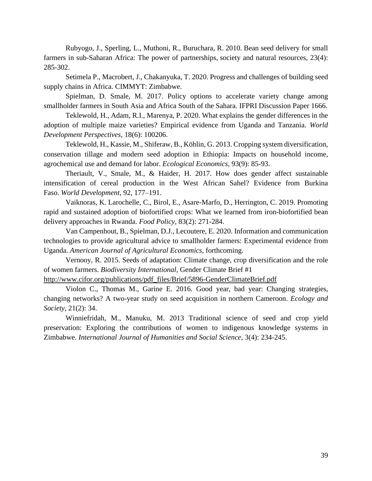Rubyogo, J., Sperling, L., Muthoni, R., Buruchara, R. 2010. Bean seed delivery for small farmers in sub-Saharan Africa: The power of partnerships, society and natural resources, 23(4): 285-302.

Setimela P., Macrobert, J., Chakanyuka, T. 2020. Progress and challenges of building seed supply chains in Africa. CIMMYT: Zimbabwe.

Spielman, D. Smale, M. 2017. Policy options to accelerate variety change among smallholder farmers in South Asia and Africa South of the Sahara. IFPRI Discussion Paper 1666.

Teklewold, H., Adam, R.I., Marenya, P. 2020. What explains the gender differences in the adoption of multiple maize varieties? Empirical evidence from Uganda and Tanzania. *World Development Perspectives*, 18(6): 100206.

Teklewold, H., Kassie, M., Shiferaw, B., Köhlin, G. 2013. Cropping system diversification, conservation tillage and modern seed adoption in Ethiopia: Impacts on household income, agrochemical use and demand for labor. *Ecological Economics*, 93(9): 85-93.

Theriault, V., Smale, M., & Haider, H. 2017. How does gender affect sustainable intensification of cereal production in the West African Sahel? Evidence from Burkina Faso. *World Development*, 92, 177–191.

Vaiknoras, K. Larochelle, C., Birol, E., Asare-Marfo, D., Herrington, C. 2019. Promoting rapid and sustained adoption of biofortified crops: What we learned from iron-biofortified bean delivery approaches in Rwanda. *Food Policy,* 83(2): 271-284.

Van Campenhout, B., Spielman, D.J., Lecoutere, E. 2020. Information and communication technologies to provide agricultural advice to smallholder farmers: Experimental evidence from Uganda. *American Journal of Agricultural Economics*, forthcoming.

Vernooy, R. 2015. Seeds of adaptation: Climate change, crop diversification and the role of women farmers. *Biodiversity International*, Gender Climate Brief #1

[http://www.cifor.org/publications/pdf\\_files/Brief/5896-GenderClimateBrief.pdf](http://www.cifor.org/publications/pdf_files/Brief/5896-GenderClimateBrief.pdf)

Violon C., Thomas M., Garine E. 2016. Good year, bad year: Changing strategies, changing networks? A two-year study on seed acquisition in northern Cameroon. *Ecology and Society*, 21(2): 34.

Winniefridah, M., Manuku, M. 2013 Traditional science of seed and crop yield preservation: Exploring the contributions of women to indigenous knowledge systems in Zimbabwe. *International Journal of Humanities and Social Science*, 3(4): 234-245.